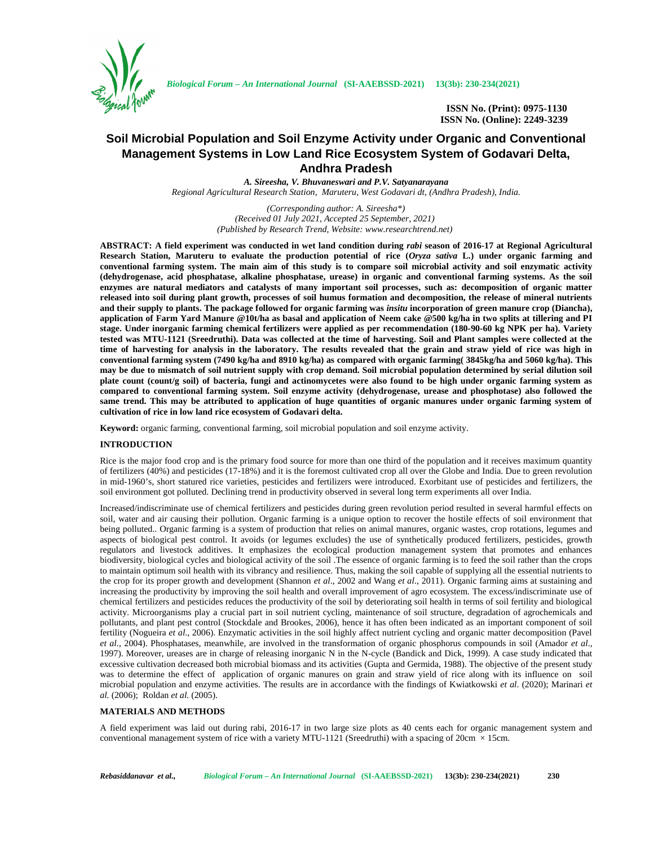

*Biological Forum – An International Journal* **(SI-AAEBSSD-2021) 13(3b): 230-234(2021)**

**ISSN No. (Print): 0975-1130 ISSN No. (Online): 2249-3239**

# **Soil Microbial Population and Soil Enzyme Activity under Organic and Conventional Management Systems in Low Land Rice Ecosystem System of Godavari Delta, Andhra Pradesh**

*A. Sireesha, V. Bhuvaneswari and P.V. Satyanarayana Regional Agricultural Research Station, Maruteru, West Godavari dt, (Andhra Pradesh), India.*

> *(Corresponding author: A. Sireesha\*) (Received 01 July 2021, Accepted 25 September, 2021) (Published by Research Trend, Website: <www.researchtrend.net>)*

**ABSTRACT: A field experiment was conducted in wet land condition during** *rabi* **season of 2016-17 at Regional Agricultural Research Station, Maruteru to evaluate the production potential of rice (***Oryza sativa* **L.) under organic farming and conventional farming system. The main aim of this study is to compare soil microbial activity and soil enzymatic activity (dehydrogenase, acid phosphatase, alkaline phosphatase, urease) in organic and conventional farming systems. As the soil enzymes are natural mediators and catalysts of many important soil processes, such as: decomposition of organic matter released into soil during plant growth, processes of soil humus formation and decomposition, the release of mineral nutrients and their supply to plants. The package followed for organic farming was** *insitu* **incorporation of green manure crop (Diancha), application of Farm Yard Manure @10t/ha as basal and application of Neem cake @500 kg/ha in two splits at tillering and PI stage. Under inorganic farming chemical fertilizers were applied as per recommendation (180-90-60 kg NPK per ha). Variety tested was MTU-1121 (Sreedruthi). Data was collected at the time of harvesting. Soil and Plant samples were collected at the time of harvesting for analysis in the laboratory. The results revealed that the grain and straw yield of rice was high in conventional farming system (7490 kg/ha and 8910 kg/ha) as compared with organic farming( 3845kg/ha and 5060 kg/ha). This may be due to mismatch of soil nutrient supply with crop demand. Soil microbial population determined by serial dilution soil plate count (count/g soil) of bacteria, fungi and actinomycetes were also found to be high under organic farming system as compared to conventional farming system. Soil enzyme activity (dehydrogenase, urease and phosphotase) also followed the same trend. This may be attributed to application of huge quantities of organic manures under organic farming system of cultivation of rice in low land rice ecosystem of Godavari delta.**

**Keyword:** organic farming, conventional farming, soil microbial population and soil enzyme activity.

## **INTRODUCTION**

Rice is the major food crop and is the primary food source for more than one third of the population and it receives maximum quantity of fertilizers (40%) and pesticides (17-18%) and it is the foremost cultivated crop all over the Globe and India. Due to green revolution in mid-1960's, short statured rice varieties, pesticides and fertilizers were introduced. Exorbitant use of pesticides and fertilizers, the soil environment got polluted. Declining trend in productivity observed in several long term experiments all over India.

Increased/indiscriminate use of chemical fertilizers and pesticides during green revolution period resulted in several harmful effects on soil, water and air causing their pollution. Organic farming is a unique option to recover the hostile effects of soil environment that being polluted.. Organic farming is a system of production that relies on animal manures, organic wastes, crop rotations, legumes and aspects of biological pest control. It avoids (or legumes excludes) the use of synthetically produced fertilizers, pesticides, growth regulators and livestock additives. It emphasizes the ecological production management system that promotes and enhances biodiversity, biological cycles and biological activity of the soil .The essence of organic farming is to feed the soil rather than the crops to maintain optimum soil health with its vibrancy and resilience. Thus, making the soil capable of supplying all the essential nutrients to the crop for its proper growth and development (Shannon *et al*., 2002 and Wang *et al*., 2011). Organic farming aims at sustaining and increasing the productivity by improving the soil health and overall improvement of agro ecosystem. The excess/indiscriminate use of chemical fertilizers and pesticides reduces the productivity of the soil by deteriorating soil health in terms of soil fertility and biological activity. Microorganisms play a crucial part in soil nutrient cycling, maintenance of soil structure, degradation of agrochemicals and pollutants, and plant pest control (Stockdale and Brookes, 2006), hence it has often been indicated as an important component of soil fertility (Nogueira *et al*., 2006). Enzymatic activities in the soil highly affect nutrient cycling and organic matter decomposition (Pavel *et al*., 2004). Phosphatases, meanwhile, are involved in the transformation of organic phosphorus compounds in soil (Amador *et al*., 1997). Moreover, ureases are in charge of releasing inorganic N in the N-cycle (Bandick and Dick, 1999). A case study indicated that excessive cultivation decreased both microbial biomass and its activities (Gupta and Germida, 1988). The objective of the present study was to determine the effect of application of organic manures on grain and straw yield of rice along with its influence on soil microbial population and enzyme activities. The results are in accordance with the findings of Kwiatkowski *et al*. (2020); Marinari *et al.* (2006); Roldan *et al.* (2005).

### **MATERIALS AND METHODS**

A field experiment was laid out during rabi, 2016-17 in two large size plots as 40 cents each for organic management system and conventional management system of rice with a variety MTU-1121 (Sreedruthi) with a spacing of 20cm  $\times$  15cm.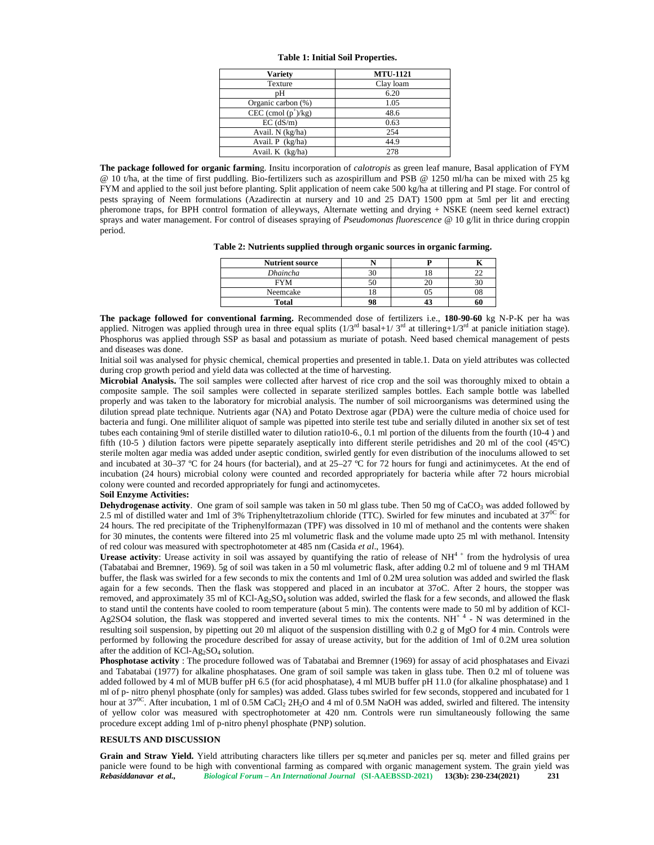#### **Table 1: Initial Soil Properties.**

| <b>Variety</b>         | <b>MTU-1121</b> |
|------------------------|-----------------|
| Texture                | Clay loam       |
| рH                     | 6.20            |
| Organic carbon (%)     | 1.05            |
| CEC (cmol $(p^+)/kg$ ) | 48.6            |
| $EC$ (dS/m)            | 0.63            |
| Avail. N (kg/ha)       | 254             |
| Avail. P (kg/ha)       | 44.9            |
| Avail. K (kg/ha)       | 278             |

**The package followed for organic farmin**g. Insitu incorporation of *calotropis* as green leaf manure, Basal application of FYM @ 10 t/ha, at the time of first puddling. Bio-fertilizers such as azospirillum and PSB @ 1250 ml/ha can be mixed with 25 kg FYM and applied to the soil just before planting. Split application of neem cake 500 kg/ha at tillering and PI stage. For control of pests spraying of Neem formulations (Azadirectin at nursery and 10 and 25 DAT) 1500 ppm at 5ml per lit and erecting pheromone traps, for BPH control formation of alleyways, Alternate wetting and drying + NSKE (neem seed kernel extract) sprays and water management. For control of diseases spraying of *Pseudomonas fluorescence* @ 10 g/lit in thrice during croppin period.

**Table 2: Nutrients supplied through organic sources in organic farming.**

| <b>Nutrient source</b> |    |    |
|------------------------|----|----|
| <b>Dhaincha</b>        |    |    |
| <b>FYM</b>             | -7 |    |
| Neemcake               |    | Uč |
| Total                  | ΩQ |    |

**The package followed for conventional farming.** Recommended dose of fertilizers i.e., **180-90-60** kg N-P-K per ha was applied. Nitrogen was applied through urea in three equal splits  $(1/3<sup>rd</sup>$  basal+1/  $3<sup>rd</sup>$  at tillering+1/3<sup>rd</sup> at panicle initiation stage). Phosphorus was applied through SSP as basal and potassium as muriate of potash. Need based chemical management of pests and diseases was done.

Initial soil was analysed for physic chemical, chemical properties and presented in table.1. Data on yield attributes was collected during crop growth period and yield data was collected at the time of harvesting.

**Microbial Analysis.** The soil samples were collected after harvest of rice crop and the soil was thoroughly mixed to obtain a composite sample. The soil samples were collected in separate sterilized samples bottles. Each sample bottle was labelled properly and was taken to the laboratory for microbial analysis. The number of soil microorganisms was determined using the dilution spread plate technique. Nutrients agar (NA) and Potato Dextrose agar (PDA) were the culture media of choice used for bacteria and fungi. One milliliter aliquot of sample was pipetted into sterile test tube and serially diluted in another six set of test tubes each containing 9ml of sterile distilled water to dilution ratio10-6., 0.1 ml portion of the diluents from the fourth (10-4 ) and fifth (10-5 ) dilution factors were pipette separately aseptically into different sterile petridishes and 20 ml of the cool (45ºC) sterile molten agar media was added under aseptic condition, swirled gently for even distribution of the inoculums allowed to set and incubated at 30–37 °C for 24 hours (for bacterial), and at  $25-27$  °C for 72 hours for fungi and actinimycetes. At the end of incubation (24 hours) microbial colony were counted and recorded appropriately for bacteria while after 72 hours microbial colony were counted and recorded appropriately for fungi and actinomycetes.

#### **Soil Enzyme Activities:**

**Dehydrogenase activity**. One gram of soil sample was taken in 50 ml glass tube. Then 50 mg of CaCO<sub>3</sub> was added followed by 2.5 ml of distilled water and 1ml of 3% Triphenyltetrazolium chloride (TTC). Swirled for few minutes and incubated at  $37^{0C}$  for 24 hours. The red precipitate of the Triphenylformazan (TPF) was dissolved in 10 ml of methanol and the contents were shaken for 30 minutes, the contents were filtered into 25 ml volumetric flask and the volume made upto 25 ml with methanol. Intensity of red colour was measured with spectrophotometer at 485 nm (Casida *et al*., 1964).

**Urease activity**: Urease activity in soil was assayed by quantifying the ratio of release of  $NH<sup>4</sup>$  from the hydrolysis of urea (Tabatabai and Bremner, 1969). 5g of soil was taken in a 50 ml volumetric flask, after adding 0.2 ml of toluene and 9 ml THAM buffer, the flask was swirled for a few seconds to mix the contents and 1ml of 0.2M urea solution was added and swirled the flask again for a few seconds. Then the flask was stoppered and placed in an incubator at 37oC. After 2 hours, the stopper was removed, and approximately 35 ml of KCl-Ag<sub>2</sub>SO<sub>4</sub> solution was added, swirled the flask for a few seconds, and allowed the flask to stand until the contents have cooled to room temperature (about 5 min). The contents were made to 50 ml by addition of KCl- Ag2SO4 solution, the flask was stoppered and inverted several times to mix the contents. NH<sup>+ 4</sup> - N was determined in the resulting soil suspension, by pipetting out 20 ml aliquot of the suspension distilling with 0.2 g of MgO for 4 min. Controls were performed by following the procedure described for assay of urease activity, but for the addition of 1ml of 0.2M urea solution after the addition of KCl-Ag<sub>2</sub>SO<sub>4</sub> solution.

**Phosphotase activity** : The procedure followed was of Tabatabai and Bremner (1969) for assay of acid phosphatases and Eivazi and Tabatabai (1977) for alkaline phosphatases. One gram of soil sample was taken in glass tube. Then 0.2 ml of toluene was added followed by 4 ml of MUB buffer pH 6.5 (for acid phosphatase), 4 ml MUB buffer pH 11.0 (for alkaline phosphatase) and 1 ml of p- nitro phenyl phosphate (only for samples) was added. Glass tubes swirled for few seconds, stoppered and incubated for 1 hour at  $37^{\circ}$ C. After incubation, 1 ml of 0.5M CaCl<sub>2</sub> 2H<sub>2</sub>O and 4 ml of 0.5M NaOH was added, swirled and filtered. The intensity of yellow color was measured with spectrophotometer at 420 nm. Controls were run simultaneously following the same procedure except adding 1ml of p-nitro phenyl phosphate (PNP) solution.

## **RESULTS AND DISCUSSION**

*Rebasiddanavar et al., Biological Forum – An International Journal* **(SI-AAEBSSD-2021) 13(3b): 230-234(2021) 231 Grain and Straw Yield.** Yield attributing characters like tillers per sq.meter and panicles per sq. meter and filled grains per panicle were found to be high with conventional farming as compared with organic management system. The grain yield was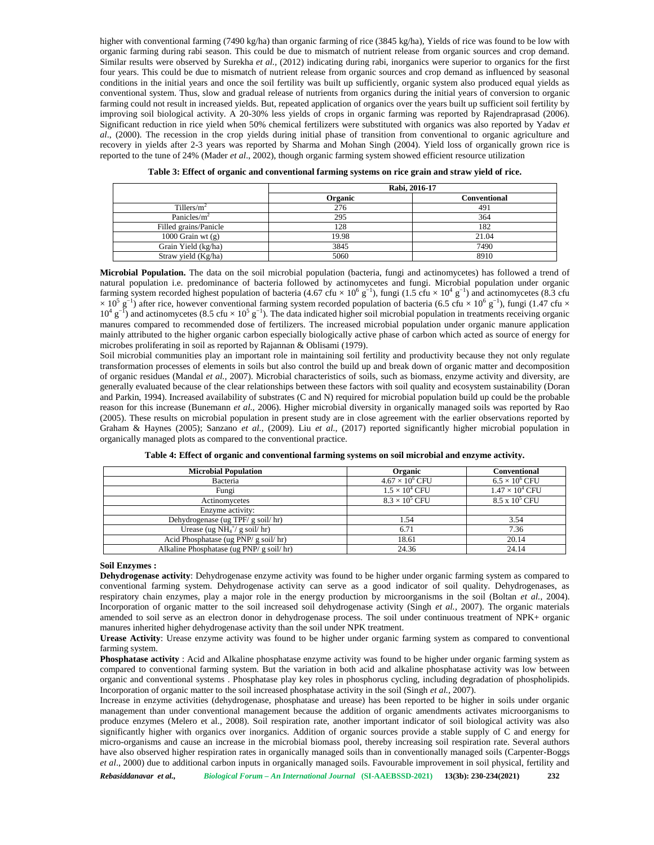higher with conventional farming (7490 kg/ha) than organic farming of rice (3845 kg/ha), Yields of rice was found to be low with organic farming during rabi season. This could be due to mismatch of nutrient release from organic sources and crop demand. Similar results were observed by Surekha *et al.,* (2012) indicating during rabi, inorganics were superior to organics for the first four years. This could be due to mismatch of nutrient release from organic sources and crop demand as influenced by seasonal conditions in the initial years and once the soil fertility was built up sufficiently, organic system also produced equal yields as conventional system. Thus, slow and gradual release of nutrients from organics during the initial years of conversion to organic farming could not result in increased yields. But, repeated application of organics over the years built up sufficient soil fertility by improving soil biological activity. A 20-30% less yields of crops in organic farming was reported by Rajendraprasad (2006). Significant reduction in rice yield when 50% chemical fertilizers were substituted with organics was also reported by Yadav *et al*., (2000). The recession in the crop yields during initial phase of transition from conventional to organic agriculture and recovery in yields after 2-3 years was reported by Sharma and Mohan Singh (2004). Yield loss of organically grown rice is reported to the tune of 24% (Mader *et al*., 2002), though organic farming system showed efficient resource utilization

|                       | Rabi, 2016-17 |              |
|-----------------------|---------------|--------------|
|                       | Organic       | Conventional |
| Tillers/ $m^2$        | 276           | 491          |
| Panicles/ $m^2$       | 295           | 364          |
| Filled grains/Panicle | 128           | 182          |
| 1000 Grain wt $(g)$   | 19.98         | 21.04        |
| Grain Yield (kg/ha)   | 3845          | 7490         |
| Straw yield (Kg/ha)   | 5060          | 8910         |

| Table 3: Effect of organic and conventional farming systems on rice grain and straw yield of rice. |  |  |
|----------------------------------------------------------------------------------------------------|--|--|
|                                                                                                    |  |  |
|                                                                                                    |  |  |
|                                                                                                    |  |  |

**Microbial Population.** The data on the soil microbial population (bacteria, fungi and actinomycetes) has followed a trend of natural population i.e. predominance of bacteria followed by actinomycetes and fungi. Microbial population under organic farming system recorded highest population of bacteria (4.67 cfu × 10<sup>6</sup> g<sup>-1</sup>), fungi (1.5 cfu × 10<sup>4</sup> g<sup>-1</sup>) and actinomycetes (8.3 cfu  $\times$  10<sup>5</sup> g<sup>-1</sup>) after rice, however conventional farming system recorded population of bacteria (6.5 cfu × 10<sup>6</sup> g<sup>-1</sup>), fungi (1.47 cfu ×  $10^4$  g<sup>-1</sup>) and actinomycetes (8.5 cfu × 10<sup>5</sup> g<sup>-1</sup>). The data indicated higher soil microbial population in treatments receiving organic manures compared to recommended dose of fertilizers. The increased microbial population under organic manure application mainly attributed to the higher organic carbon especially biologically active phase of carbon which acted as source of energy for microbes proliferating in soil as reported by Rajannan & Oblisami (1979).

Soil microbial communities play an important role in maintaining soil fertility and productivity because they not only regulate transformation processes of elements in soils but also control the build up and break down of organic matter and decomposition of organic residues (Mandal *et al.,* 2007). Microbial characteristics of soils, such as biomass, enzyme activity and diversity, are generally evaluated because of the clear relationships between these factors with soil quality and ecosystem sustainability (Doran and Parkin, 1994). Increased availability of substrates (C and N) required for microbial population build up could be the probable reason for this increase (Bunemann *et al.,* 2006). Higher microbial diversity in organically managed soils was reported by Rao (2005). These results on microbial population in present study are in close agreement with the earlier observations reported by Graham & Haynes (2005); Sanzano *et al.,* (2009). Liu *et al.,* (2017) reported significantly higher microbial population in organically managed plots as compared to the conventional practice.

| <b>Microbial Population</b>               | Organic                | <b>Conventional</b>    |
|-------------------------------------------|------------------------|------------------------|
| Bacteria                                  | $4.67 \times 10^6$ CFU | $6.5 \times 10^6$ CFU  |
| Fungi                                     | $1.5 \times 10^4$ CFU  | $1.47 \times 10^4$ CFU |
| Actinomycetes                             | $8.3 \times 10^5$ CFU  | $8.5 \times 10^5$ CFU  |
| Enzyme activity:                          |                        |                        |
| Dehydrogenase (ug TPF/ g soil/hr)         | 1.54                   | 3.54                   |
| Urease (ug $NH_4^+$ / g soil/ hr)         | 6.71                   | 7.36                   |
| Acid Phosphatase (ug PNP/ g soil/ hr)     | 18.61                  | 20.14                  |
| Alkaline Phosphatase (ug PNP/ g soil/ hr) | 24.36                  | 24.14                  |

|  | Table 4: Effect of organic and conventional farming systems on soil microbial and enzyme activity. |
|--|----------------------------------------------------------------------------------------------------|
|  |                                                                                                    |

#### **Soil Enzymes :**

**Dehydrogenase activity**: Dehydrogenase enzyme activity was found to be higher under organic farming system as compared to conventional farming system. Dehydrogenase activity can serve as a good indicator of soil quality. Dehydrogenases, as respiratory chain enzymes, play a major role in the energy production by microorganisms in the soil (Boltan *et al.,* 2004). Incorporation of organic matter to the soil increased soil dehydrogenase activity (Singh *et al.,* 2007). The organic materials amended to soil serve as an electron donor in dehydrogenase process. The soil under continuous treatment of NPK+ organic manures inherited higher dehydrogenase activity than the soil under NPK treatment.

**Urease Activity**: Urease enzyme activity was found to be higher under organic farming system as compared to conventional farming system.

**Phosphatase activity** : Acid and Alkaline phosphatase enzyme activity was found to be higher under organic farming system as compared to conventional farming system. But the variation in both acid and alkaline phosphatase activity was low between organic and conventional systems . Phosphatase play key roles in phosphorus cycling, including degradation of phospholipids. Incorporation of organic matter to the soil increased phosphatase activity in the soil (Singh *et al.,* 2007).

Increase in enzyme activities (dehydrogenase, phosphatase and urease) has been reported to be higher in soils under organic management than under conventional management because the addition of organic amendments activates microorganisms to produce enzymes (Melero et al., 2008). Soil respiration rate, another important indicator of soil biological activity was also significantly higher with organics over inorganics. Addition of organic sources provide a stable supply of C and energy for micro-organisms and cause an increase in the microbial biomass pool, thereby increasing soil respiration rate. Several authors have also observed higher respiration rates in organically managed soils than in conventionally managed soils (Carpenter-Boggs *et al*., 2000) due to additional carbon inputs in organically managed soils. Favourable improvement in soil physical, fertility and

*Rebasiddanavar et al., Biological Forum – An International Journal* **(SI-AAEBSSD-2021) 13(3b): 230-234(2021) 232**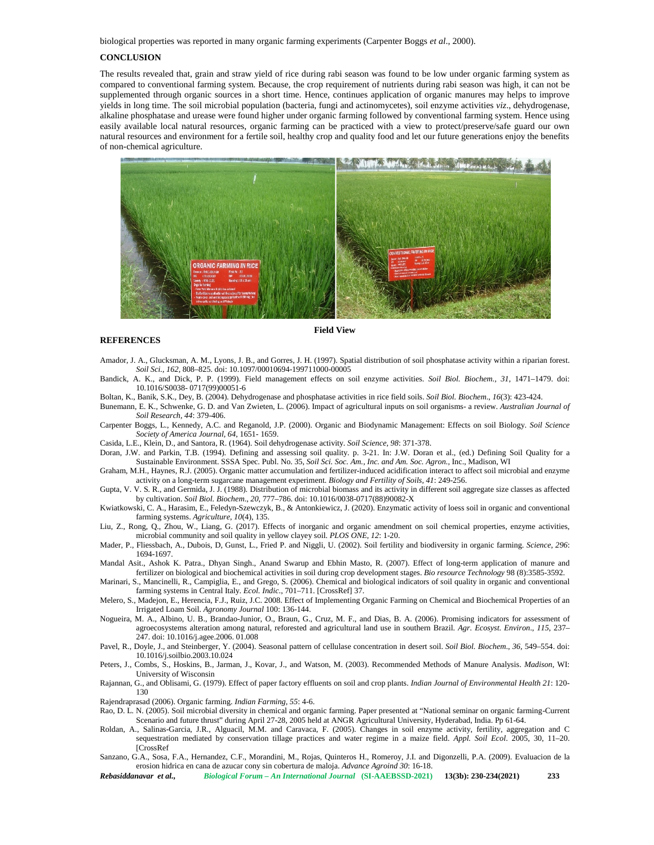biological properties was reported in many organic farming experiments (Carpenter Boggs *et al*., 2000).

### **CONCLUSION**

The results revealed that, grain and straw yield of rice during rabi season was found to be low under organic farming system as compared to conventional farming system. Because, the crop requirement of nutrients during rabi season was high, it can not be supplemented through organic sources in a short time. Hence, continues application of organic manures may helps to improve yields in long time. The soil microbial population (bacteria, fungi and actinomycetes), soil enzyme activities *viz*., dehydrogenase, alkaline phosphatase and urease were found higher under organic farming followed by conventional farming system. Hence using easily available local natural resources, organic farming can be practiced with a view to protect/preserve/safe guard our own natural resources and environment for a fertile soil, healthy crop and quality food and let our future generations enjoy the benefits of non-chemical agriculture.



## **REFERENCES**

**Field View**

- Amador, J. A., Glucksman, A. M., Lyons, J. B., and Gorres, J. H. (1997). Spatial distribution of soil phosphatase activity within a riparian forest. *Soil Sci., 162,* 808–825. doi: 10.1097/00010694-199711000-00005
- Bandick, A. K., and Dick, P. P. (1999). Field management effects on soil enzyme activities. *Soil Biol. Biochem., 31,* 1471–1479. doi: 10.1016/S0038- 0717(99)00051-6
- Boltan, K., Banik, S.K., Dey, B. (2004). Dehydrogenase and phosphatase activities in rice field soils. *Soil Biol. Biochem*., *16*(3): 423-424.
- Bunemann, E. K., Schwenke, G. D. and Van Zwieten, L. (2006). Impact of agricultural inputs on soil organisms- a review. *Australian Journal of Soil Research, 44*: 379-406.
- Carpenter Boggs, L., Kennedy, A.C. and Reganold, J.P. (2000). Organic and Biodynamic Management: Effects on soil Biology. *Soil Science Society of America Journal, 64*, 1651- 1659.
- Casida, L.E., Klein, D., and Santora, R. (1964). Soil dehydrogenase activity. *Soil Science, 98*: 371-378.
- Doran, J.W. and Parkin, T.B. (1994). Defining and assessing soil quality. p. 3-21. In: J.W. Doran et al., (ed.) Defining Soil Quality for a Sustainable Environment. SSSA Spec. Publ. No. 35, *Soil Sci. Soc. Am., Inc. and Am. Soc. Agron.,* Inc., Madison, WI
- Graham, M.H., Haynes, R.J. (2005). Organic matter accumulation and fertilizer-induced acidification interact to affect soil microbial and enzyme activity on a long-term sugarcane management experiment. *Biology and Fertility of Soils, 41*: 249-256.
- Gupta, V. V. S. R., and Germida, J. J. (1988). Distribution of microbial biomass and its activity in different soil aggregate size classes as affected by cultivation. *Soil Biol. Biochem*., *20*, 777–786. doi: 10.1016/0038-0717(88)90082-X
- Kwiatkowski, C. A., Harasim, E., Feledyn-Szewczyk, B., & Antonkiewicz, J. (2020). Enzymatic activity of loess soil in organic and conventional farming systems. *Agriculture*, *10*(4), 135.
- Liu, Z., Rong, Q., Zhou, W., Liang, G. (2017). Effects of inorganic and organic amendment on soil chemical properties, enzyme activities, microbial community and soil quality in yellow clayey soil. *PLOS ONE, 12*: 1-20.
- Mader, P., Fliessbach, A., Dubois, D, Gunst, L., Fried P. and Niggli, U. (2002). Soil fertility and biodiversity in organic farming. *Science, 296*: 1694-1697.
- Mandal Asit., Ashok K. Patra., Dhyan Singh., Anand Swarup and Ebhin Masto, R. (2007). Effect of long-term application of manure and fertilizer on biological and biochemical activities in soil during crop development stages. *Bio resource Technology* 98 (8):3585-3592.
- Marinari, S., Mancinelli, R., Campiglia, E., and Grego, S. (2006). Chemical and biological indicators of soil quality in organic and conventional farming systems in Central Italy. *Ecol. Indic*., 701–711. [CrossRef] 37.
- Melero, S., Madejon, E., Herencia, F.J., Ruiz, J.C. 2008. Effect of Implementing Organic Farming on Chemical and Biochemical Properties of an Irrigated Loam Soil. *Agronomy Journal* 100: 136-144.
- Nogueira, M. A., Albino, U. B., Brandao-Junior, O., Braun, G., Cruz, M. F., and Dias, B. A. (2006). Promising indicators for assessment of agroecosystems alteration among natural, reforested and agricultural land use in southern Brazil. *Agr. Ecosyst. Environ*., *115*, 237– 247. doi: 10.1016/j.agee.2006. 01.008
- Pavel, R., Doyle, J., and Steinberger, Y. (2004). Seasonal pattern of cellulase concentration in desert soil. *Soil Biol. Biochem*., *36*, 549–554. doi: 10.1016/j.soilbio.2003.10.024
- Peters, J., Combs, S., Hoskins, B., Jarman, J., Kovar, J., and Watson, M. (2003). Recommended Methods of Manure Analysis. *Madison*, WI: University of Wisconsin
- Rajannan, G., and Oblisami, G. (1979). Effect of paper factory effluents on soil and crop plants. *Indian Journal of Environmental Health 21*: 120- 130
- Rajendraprasad (2006). Organic farming. *Indian Farming, 55*: 4-6.
- Rao, D. L. N. (2005). Soil microbial diversity in chemical and organic farming. Paper presented at "National seminar on organic farming-Current Scenario and future thrust" during April 27-28, 2005 held at ANGR Agricultural University, Hyderabad, India. Pp 61-64.
- Roldan, A., Salinas-Garcia, J.R., Alguacil, M.M. and Caravaca, F. (2005). Changes in soil enzyme activity, fertility, aggregation and C sequestration mediated by conservation tillage practices and water regime in a maize field. *Appl. Soil Ecol*. 2005, 30, 11–20. [CrossRef
- Sanzano, G.A., Sosa, F.A., Hernandez, C.F., Morandini, M., Rojas, Quinteros H., Romeroy, J.I. and Digonzelli, P.A. (2009). Evaluacion de la erosion hidrica en cana de azucar cony sin cobertura de maloja. *Advance Agroind 30*: 16-18.

*Rebasiddanavar et al., Biological Forum – An International Journal* **(SI-AAEBSSD-2021) 13(3b): 230-234(2021) 233**